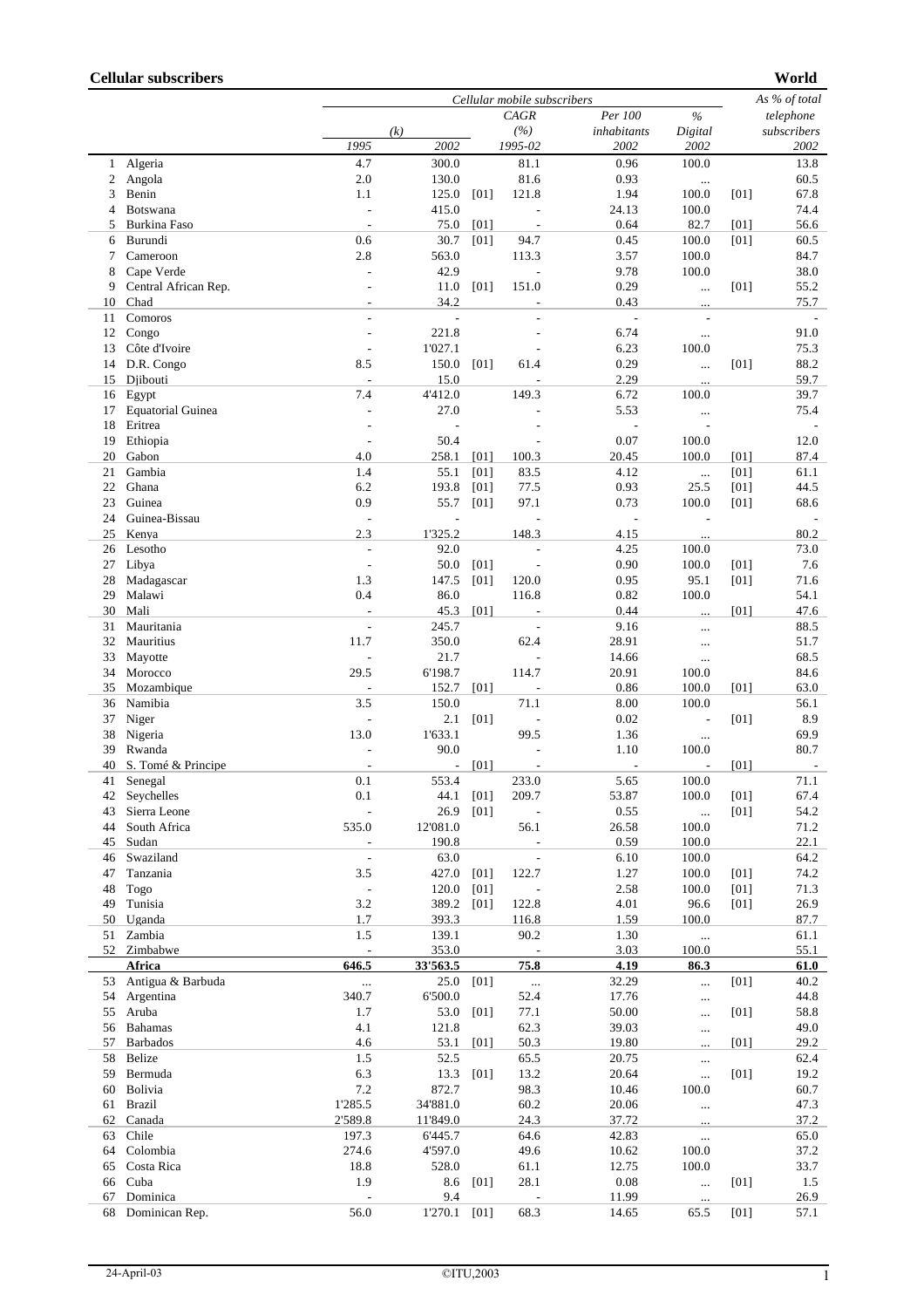## **Cellular subscribers**

**World** 

|              |                          |                          | Cellular mobile subscribers |      |                          |                          |                          |      |             |
|--------------|--------------------------|--------------------------|-----------------------------|------|--------------------------|--------------------------|--------------------------|------|-------------|
|              |                          |                          |                             |      | CAGR                     | Per 100                  | $\frac{0}{0}$            |      | telephone   |
|              |                          |                          | (k)                         |      | (%)                      | inhabitants              | Digital                  |      | subscribers |
|              |                          | 1995                     | 2002                        |      | 1995-02                  | 2002                     | 2002                     |      | 2002        |
| $\mathbf{1}$ | Algeria                  | 4.7                      | 300.0                       |      | 81.1                     | 0.96                     | 100.0                    |      | 13.8        |
| 2            | Angola                   | 2.0                      | 130.0                       |      | 81.6                     | 0.93                     |                          |      | 60.5        |
| 3            | Benin                    | 1.1                      | 125.0                       | [01] | 121.8                    | 1.94                     | 100.0                    | [01] | 67.8        |
| 4            | Botswana                 | $\overline{\phantom{a}}$ | 415.0                       |      | $\overline{a}$           | 24.13                    | 100.0                    |      | 74.4        |
|              | <b>Burkina Faso</b>      | $\overline{\phantom{a}}$ |                             |      | $\overline{a}$           |                          |                          |      |             |
| 5            |                          |                          | 75.0                        | [01] |                          | 0.64                     | 82.7                     | [01] | 56.6        |
| 6            | Burundi                  | 0.6                      | 30.7                        | [01] | 94.7                     | 0.45                     | 100.0                    | [01] | 60.5        |
| 7            | Cameroon                 | 2.8                      | 563.0                       |      | 113.3                    | 3.57                     | 100.0                    |      | 84.7        |
| 8            | Cape Verde               | $\overline{a}$           | 42.9                        |      |                          | 9.78                     | 100.0                    |      | 38.0        |
| 9            | Central African Rep.     |                          | 11.0                        | [01] | 151.0                    | 0.29                     | $\ddotsc$                | [01] | 55.2        |
| 10           | Chad                     |                          | 34.2                        |      | $\overline{a}$           | 0.43                     | $\cdots$                 |      | 75.7        |
| 11           | Comoros                  | L,                       | $\overline{a}$              |      | $\overline{a}$           | $\overline{\phantom{a}}$ | $\overline{a}$           |      | $\sim$      |
| 12           | Congo                    | $\overline{a}$           | 221.8                       |      |                          | 6.74                     | $\ddotsc$                |      | 91.0        |
| 13           | Côte d'Ivoire            | $\overline{\phantom{a}}$ | 1'027.1                     |      |                          | 6.23                     | 100.0                    |      | 75.3        |
| 14           | D.R. Congo               | 8.5                      | 150.0                       | [01] | 61.4                     | 0.29                     | $\ddotsc$                | [01] | 88.2        |
| 15           | Djibouti                 | $\overline{\phantom{a}}$ | 15.0                        |      |                          | 2.29                     | $\ldots$                 |      | 59.7        |
| 16           | Egypt                    | 7.4                      | 4'412.0                     |      | 149.3                    | 6.72                     | 100.0                    |      | 39.7        |
| 17           | <b>Equatorial Guinea</b> | $\overline{a}$           | 27.0                        |      |                          | 5.53                     |                          |      | 75.4        |
|              | Eritrea                  |                          |                             |      | L,                       |                          | $\ldots$                 |      |             |
| 18           |                          | $\overline{a}$           | $\overline{a}$              |      |                          | $\blacksquare$           | $\overline{a}$           |      |             |
| 19           | Ethiopia                 | $\overline{a}$           | 50.4                        |      |                          | 0.07                     | 100.0                    |      | 12.0        |
| 20           | Gabon                    | 4.0                      | 258.1                       | [01] | 100.3                    | 20.45                    | 100.0                    | [01] | 87.4        |
| 21           | Gambia                   | 1.4                      | 55.1                        | [01] | 83.5                     | 4.12                     | $\ddotsc$                | [01] | 61.1        |
| 22           | Ghana                    | 6.2                      | 193.8                       | [01] | 77.5                     | 0.93                     | 25.5                     | [01] | 44.5        |
| 23           | Guinea                   | 0.9                      | 55.7                        | [01] | 97.1                     | 0.73                     | 100.0                    | [01] | 68.6        |
| 24           | Guinea-Bissau            | $\overline{\phantom{a}}$ | $\overline{a}$              |      | $\frac{1}{2}$            | $\blacksquare$           | $\overline{\phantom{a}}$ |      |             |
| 25           | Kenya                    | 2.3                      | 1'325.2                     |      | 148.3                    | 4.15                     | $\ldots$                 |      | 80.2        |
| 26           | Lesotho                  | $\overline{\phantom{a}}$ | 92.0                        |      |                          | 4.25                     | 100.0                    |      | 73.0        |
| 27           | Libya                    | $\overline{a}$           | 50.0                        | [01] | $\overline{\phantom{a}}$ | 0.90                     | 100.0                    | [01] | 7.6         |
| 28           | Madagascar               | 1.3                      | 147.5                       | [01] | 120.0                    | 0.95                     | 95.1                     | [01] | 71.6        |
| 29           | Malawi                   | 0.4                      | 86.0                        |      | 116.8                    | 0.82                     | 100.0                    |      | 54.1        |
| 30           | Mali                     | $\frac{1}{2}$            | 45.3                        | [01] | $\overline{a}$           | 0.44                     |                          | [01] | 47.6        |
|              | Mauritania               | $\overline{a}$           | 245.7                       |      |                          | 9.16                     | $\ddotsc$                |      | 88.5        |
| 31           |                          |                          |                             |      |                          |                          | $\ldots$                 |      |             |
| 32           | Mauritius                | 11.7                     | 350.0                       |      | 62.4                     | 28.91                    | $\ldots$                 |      | 51.7        |
| 33           | Mayotte                  | $\overline{\phantom{a}}$ | 21.7                        |      | $\overline{a}$           | 14.66                    | $\ldots$                 |      | 68.5        |
| 34           | Morocco                  | 29.5                     | 6'198.7                     |      | 114.7                    | 20.91                    | 100.0                    |      | 84.6        |
| 35           | Mozambique               |                          | 152.7                       | [01] |                          | 0.86                     | 100.0                    | [01] | 63.0        |
| 36           | Namibia                  | 3.5                      | 150.0                       |      | 71.1                     | 8.00                     | 100.0                    |      | 56.1        |
| 37           | Niger                    |                          | 2.1                         | [01] |                          | 0.02                     | $\overline{\phantom{a}}$ | [01] | 8.9         |
| 38           | Nigeria                  | 13.0                     | 1'633.1                     |      | 99.5                     | 1.36                     | $\ldots$                 |      | 69.9        |
| 39           | Rwanda                   | $\overline{\phantom{a}}$ | 90.0                        |      | L                        | 1.10                     | 100.0                    |      | 80.7        |
| 40           | S. Tomé & Principe       |                          |                             | [01] |                          |                          |                          | [01] |             |
|              | 41 Senegal               | 0.1                      | 553.4                       |      | 233.0                    | 5.65                     | 100.0                    |      | 71.1        |
| 42           | Seychelles               | $0.1\,$                  | 44.1                        | [01] | 209.7                    | 53.87                    | 100.0                    | [01] | 67.4        |
| 43           | Sierra Leone             | $\blacksquare$           | 26.9                        | [01] |                          | 0.55                     |                          | [01] | 54.2        |
| 44           | South Africa             | 535.0                    | 12'081.0                    |      | 56.1                     | 26.58                    | <br>100.0                |      | 71.2        |
|              |                          |                          |                             |      |                          |                          |                          |      |             |
| 45           | Sudan                    | $\overline{\phantom{a}}$ | 190.8                       |      | $\frac{1}{2}$            | 0.59                     | 100.0                    |      | 22.1        |
| 46           | Swaziland                | $\overline{\phantom{a}}$ | 63.0                        |      | $\overline{\phantom{a}}$ | 6.10                     | 100.0                    |      | 64.2        |
| 47           | Tanzania                 | 3.5                      | 427.0                       | [01] | 122.7                    | 1.27                     | 100.0                    | [01] | 74.2        |
| 48           | Togo                     | $\overline{\phantom{a}}$ | 120.0                       | [01] | $\overline{\phantom{a}}$ | 2.58                     | 100.0                    | [01] | 71.3        |
| 49           | Tunisia                  | 3.2                      | 389.2                       | [01] | 122.8                    | 4.01                     | 96.6                     | [01] | 26.9        |
| 50           | Uganda                   | 1.7                      | 393.3                       |      | 116.8                    | 1.59                     | 100.0                    |      | 87.7        |
| 51           | Zambia                   | 1.5                      | 139.1                       |      | 90.2                     | 1.30                     |                          |      | 61.1        |
| 52           | Zimbabwe                 | $\overline{\phantom{a}}$ | 353.0                       |      | $\overline{\phantom{a}}$ | 3.03                     | 100.0                    |      | 55.1        |
|              | <b>Africa</b>            | 646.5                    | 33'563.5                    |      | 75.8                     | 4.19                     | 86.3                     |      | 61.0        |
|              | 53 Antigua & Barbuda     |                          | 25.0                        | [01] |                          | 32.29                    | $\ddotsc$                | [01] | 40.2        |
| 54           | Argentina                | 340.7                    | 6'500.0                     |      | 52.4                     | 17.76                    |                          |      | 44.8        |
| 55           | Aruba                    | 1.7                      | 53.0                        | [01] | 77.1                     | 50.00                    | $\ldots$                 | [01] | 58.8        |
|              |                          | 4.1                      |                             |      | 62.3                     | 39.03                    | $\ldots$                 |      | 49.0        |
| 56           | Bahamas                  |                          | 121.8                       |      |                          |                          | $\ldots$                 |      |             |
| 57           | <b>Barbados</b>          | 4.6                      | 53.1                        | [01] | 50.3                     | 19.80                    | $\ldots$                 | [01] | 29.2        |
| 58           | Belize                   | 1.5                      | 52.5                        |      | 65.5                     | 20.75                    |                          |      | 62.4        |
| 59           | Bermuda                  | 6.3                      | 13.3                        | [01] | 13.2                     | 20.64                    |                          | [01] | 19.2        |
| 60           | Bolivia                  | 7.2                      | 872.7                       |      | 98.3                     | 10.46                    | 100.0                    |      | 60.7        |
| 61           | Brazil                   | 1'285.5                  | 34'881.0                    |      | 60.2                     | 20.06                    | $\ldots$                 |      | 47.3        |
| 62           | Canada                   | 2'589.8                  | 11'849.0                    |      | 24.3                     | 37.72                    | $\ldots$                 |      | 37.2        |
| 63           | Chile                    | 197.3                    | 6'445.7                     |      | 64.6                     | 42.83                    | $\ddotsc$                |      | 65.0        |
| 64           | Colombia                 | 274.6                    | 4'597.0                     |      | 49.6                     | 10.62                    | 100.0                    |      | 37.2        |
| 65           | Costa Rica               | 18.8                     | 528.0                       |      | 61.1                     | 12.75                    | 100.0                    |      | 33.7        |
| 66           | Cuba                     | 1.9                      | 8.6                         | [01] | 28.1                     | 0.08                     | $\ldots$                 | [01] | 1.5         |
| 67           | Dominica                 |                          | 9.4                         |      | $\overline{\phantom{a}}$ | 11.99                    |                          |      | 26.9        |
|              | Dominican Rep.           | 56.0                     | 1'270.1                     | [01] | 68.3                     | 14.65                    | $\ldots$<br>65.5         | [01] | 57.1        |
| 68           |                          |                          |                             |      |                          |                          |                          |      |             |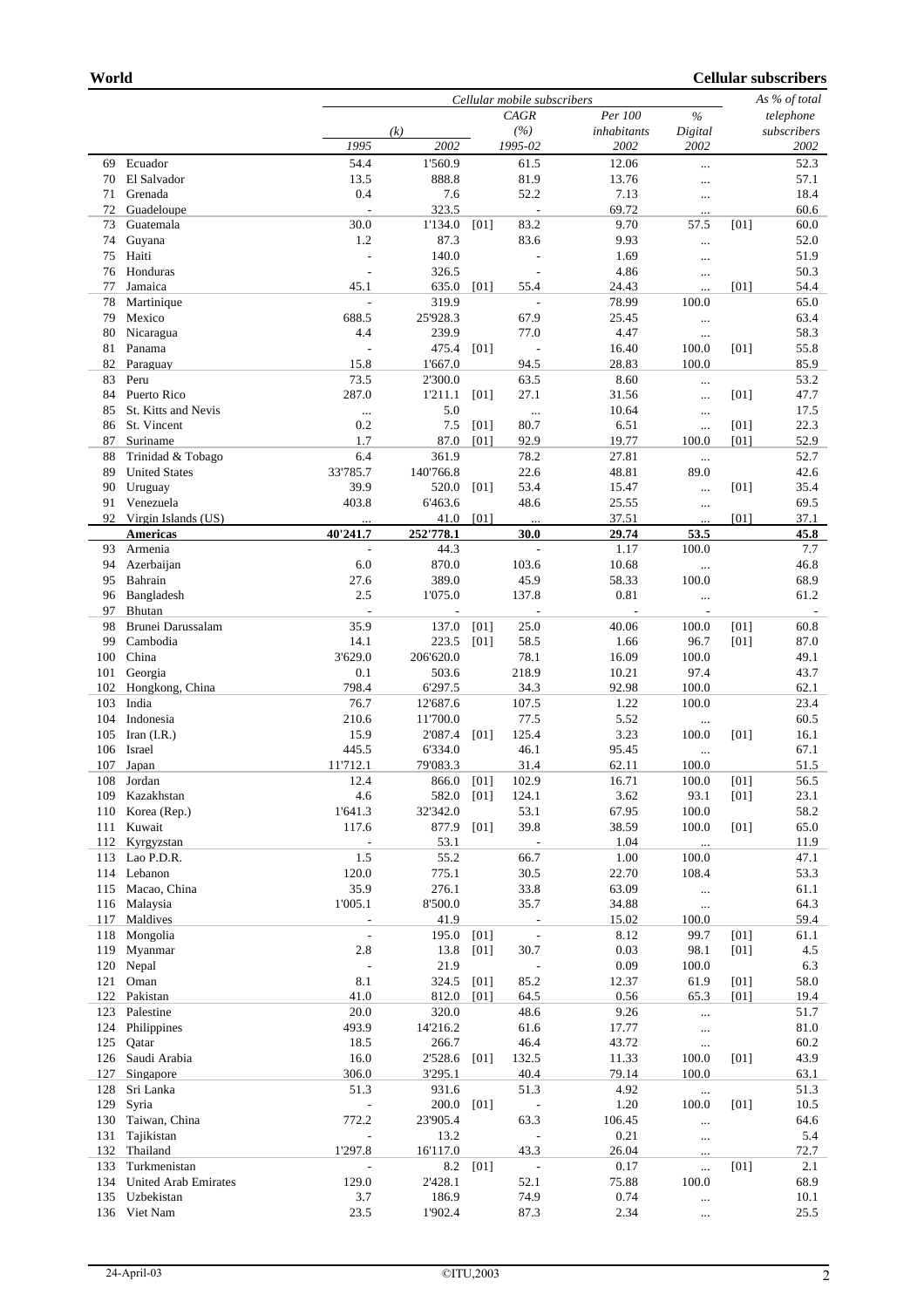## **Cellular subscribers**

|            |                             |                                      | Cellular mobile subscribers |      |                                  |                |                      |      |              |
|------------|-----------------------------|--------------------------------------|-----------------------------|------|----------------------------------|----------------|----------------------|------|--------------|
|            |                             |                                      |                             |      | CAGR                             | Per 100        | $\%$                 |      | telephone    |
|            |                             |                                      | (k)                         |      | (%)                              | inhabitants    | Digital              |      | subscribers  |
|            |                             | 1995                                 | 2002                        |      | 1995-02                          | 2002           | 2002                 |      | 2002         |
| 69         | Ecuador                     | 54.4                                 | 1'560.9                     |      | 61.5                             | 12.06          | $\ldots$             |      | 52.3         |
| 70         | El Salvador                 | 13.5                                 | 888.8                       |      | 81.9                             | 13.76          | $\cdots$             |      | 57.1         |
| 71         | Grenada                     | 0.4                                  | 7.6                         |      | 52.2                             | 7.13           | $\ldots$             |      | 18.4         |
| 72         | Guadeloupe                  |                                      | 323.5                       |      | $\overline{a}$                   | 69.72          | $\cdots$             |      | 60.6         |
| 73<br>74   | Guatemala<br>Guyana         | 30.0<br>1.2                          | 1'134.0<br>87.3             | [01] | 83.2<br>83.6                     | 9.70<br>9.93   | 57.5                 | [01] | 60.0<br>52.0 |
| 75         | Haiti                       | $\overline{a}$                       | 140.0                       |      | $\overline{a}$                   | 1.69           | $\ldots$             |      | 51.9         |
| 76         | Honduras                    | L,                                   | 326.5                       |      | $\overline{a}$                   | 4.86           | $\ldots$             |      | 50.3         |
| 77         | Jamaica                     | 45.1                                 | 635.0                       | [01] | 55.4                             | 24.43          | $\cdots$<br>$\cdots$ | [01] | 54.4         |
| 78         | Martinique                  | $\overline{\phantom{a}}$             | 319.9                       |      | $\frac{1}{2}$                    | 78.99          | 100.0                |      | 65.0         |
| 79         | Mexico                      | 688.5                                | 25'928.3                    |      | 67.9                             | 25.45          | $\ldots$             |      | 63.4         |
| 80         | Nicaragua                   | 4.4                                  | 239.9                       |      | 77.0                             | 4.47           | $\ldots$             |      | 58.3         |
| 81         | Panama                      |                                      | 475.4                       | [01] | $\overline{\phantom{a}}$         | 16.40          | 100.0                | [01] | 55.8         |
| 82         | Paraguay                    | 15.8                                 | 1'667.0                     |      | 94.5                             | 28.83          | 100.0                |      | 85.9         |
| 83         | Peru                        | 73.5                                 | 2'300.0                     |      | 63.5                             | 8.60           |                      |      | 53.2         |
| 84         | Puerto Rico                 | 287.0                                | 1'211.1                     | [01] | 27.1                             | 31.56          | $\ldots$             | [01] | 47.7         |
| 85         | St. Kitts and Nevis         | $\ddotsc$                            | 5.0                         |      |                                  | 10.64          | $\ldots$             |      | 17.5         |
| 86         | St. Vincent                 | 0.2                                  | 7.5                         | [01] | 80.7                             | 6.51           | $\ddotsc$            | [01] | 22.3         |
| 87         | Suriname                    | 1.7                                  | 87.0                        | [01] | 92.9                             | 19.77          | 100.0                | [01] | 52.9         |
| 88         | Trinidad & Tobago           | 6.4                                  | 361.9                       |      | 78.2                             | 27.81          |                      |      | 52.7         |
| 89         | <b>United States</b>        | 33'785.7                             | 140'766.8                   |      | 22.6                             | 48.81          | 89.0                 |      | 42.6         |
| 90         | Uruguay                     | 39.9                                 | 520.0                       | [01] | 53.4                             | 15.47          |                      | [01] | 35.4         |
| 91         | Venezuela                   | 403.8                                | 6'463.6                     |      | 48.6                             | 25.55          | $\ldots$             |      | 69.5         |
| 92         | Virgin Islands (US)         | $\ldots$                             | 41.0<br>252'778.1           | [01] | $\cdots$<br>30.0                 | 37.51<br>29.74 | $\ldots$             | [01] | 37.1<br>45.8 |
| 93         | <b>Americas</b><br>Armenia  | 40'241.7<br>$\overline{\phantom{a}}$ | 44.3                        |      | $\overline{a}$                   | 1.17           | 53.5<br>100.0        |      | 7.7          |
| 94         | Azerbaijan                  | 6.0                                  | 870.0                       |      | 103.6                            | 10.68          | $\ddotsc$            |      | 46.8         |
| 95         | Bahrain                     | 27.6                                 | 389.0                       |      | 45.9                             | 58.33          | 100.0                |      | 68.9         |
| 96         | Bangladesh                  | 2.5                                  | 1'075.0                     |      | 137.8                            | 0.81           | $\ldots$             |      | 61.2         |
| 97         | Bhutan                      | $\overline{a}$                       | ÷,                          |      | $\overline{a}$                   | ÷,             | ÷,                   |      |              |
| 98         | Brunei Darussalam           | 35.9                                 | 137.0                       | [01] | 25.0                             | 40.06          | 100.0                | [01] | 60.8         |
| 99         | Cambodia                    | 14.1                                 | 223.5                       | [01] | 58.5                             | 1.66           | 96.7                 | [01] | 87.0         |
| 100        | China                       | 3'629.0                              | 206'620.0                   |      | 78.1                             | 16.09          | 100.0                |      | 49.1         |
| 101        | Georgia                     | 0.1                                  | 503.6                       |      | 218.9                            | 10.21          | 97.4                 |      | 43.7         |
| 102        | Hongkong, China             | 798.4                                | 6'297.5                     |      | 34.3                             | 92.98          | 100.0                |      | 62.1         |
| 103        | India                       | 76.7                                 | 12'687.6                    |      | 107.5                            | 1.22           | 100.0                |      | 23.4         |
| 104        | Indonesia                   | 210.6                                | 11'700.0                    |      | 77.5                             | 5.52           | $\ldots$             |      | 60.5         |
| 105        | Iran $(I.R.)$               | 15.9                                 | 2'087.4                     | [01] | 125.4                            | 3.23           | 100.0                | [01] | 16.1         |
| 106        | Israel                      | 445.5                                | 6'334.0                     |      | 46.1                             | 95.45          | $\ldots$             |      | 67.1         |
| 107        | Japan                       | 11'712.1                             | 79'083.3                    |      | 31.4                             | 62.11          | 100.0                |      | 51.5         |
| 108        | Jordan                      | 12.4                                 | 866.0                       | [01] | 102.9                            | 16.71          | 100.0                | [01] | 56.5         |
| 109        | Kazakhstan                  | 4.6                                  | 582.0                       | [01] | 124.1                            | 3.62           | 93.1                 | [01] | 23.1         |
| 110<br>111 | Korea (Rep.)<br>Kuwait      | 1'641.3<br>117.6                     | 32'342.0<br>877.9           | [01] | 53.1<br>39.8                     | 67.95<br>38.59 | 100.0<br>100.0       | [01] | 58.2<br>65.0 |
| 112        | Kyrgyzstan                  | $\overline{\phantom{a}}$             | 53.1                        |      | $\overline{a}$                   | 1.04           |                      |      | 11.9         |
| 113        | Lao P.D.R.                  | 1.5                                  | 55.2                        |      | 66.7                             | 1.00           | $\ddotsc$<br>100.0   |      | 47.1         |
| 114        | Lebanon                     | 120.0                                | 775.1                       |      | 30.5                             | 22.70          | 108.4                |      | 53.3         |
| 115        | Macao, China                | 35.9                                 | 276.1                       |      | 33.8                             | 63.09          | $\cdots$             |      | 61.1         |
| 116        | Malaysia                    | 1'005.1                              | 8'500.0                     |      | 35.7                             | 34.88          | $\ldots$             |      | 64.3         |
| 117        | Maldives                    | $\overline{\phantom{a}}$             | 41.9                        |      | $\overline{a}$                   | 15.02          | 100.0                |      | 59.4         |
| 118        | Mongolia                    | $\frac{1}{2}$                        | 195.0                       | [01] | $\overline{\phantom{a}}$         | 8.12           | 99.7                 | [01] | 61.1         |
| 119        | Myanmar                     | 2.8                                  | 13.8                        | [01] | 30.7                             | 0.03           | 98.1                 | [01] | 4.5          |
| 120        | Nepal                       | $\overline{\phantom{a}}$             | 21.9                        |      | $\overline{a}$                   | 0.09           | 100.0                |      | 6.3          |
| 121        | Oman                        | 8.1                                  | 324.5                       | [01] | 85.2                             | 12.37          | 61.9                 | [01] | 58.0         |
| 122        | Pakistan                    | 41.0                                 | 812.0                       | [01] | 64.5                             | 0.56           | 65.3                 | [01] | 19.4         |
| 123        | Palestine                   | 20.0                                 | 320.0                       |      | 48.6                             | 9.26           |                      |      | 51.7         |
| 124        | Philippines                 | 493.9                                | 14'216.2                    |      | 61.6                             | 17.77          | $\ldots$             |      | 81.0         |
| 125        | Qatar                       | 18.5                                 | 266.7                       |      | 46.4                             | 43.72          | $\ldots$             |      | 60.2         |
| 126        | Saudi Arabia                | 16.0                                 | 2'528.6                     | [01] | 132.5                            | 11.33          | 100.0                | [01] | 43.9         |
| 127        | Singapore                   | 306.0                                | 3'295.1                     |      | 40.4                             | 79.14          | 100.0                |      | 63.1         |
| 128<br>129 | Sri Lanka<br>Syria          | 51.3<br>$\overline{\phantom{a}}$     | 931.6<br>200.0              |      | 51.3                             | 4.92<br>1.20   | <br>100.0            | [01] | 51.3<br>10.5 |
| 130        | Taiwan, China               | 772.2                                | 23'905.4                    | [01] | $\overline{\phantom{a}}$<br>63.3 | 106.45         |                      |      | 64.6         |
| 131        | Tajikistan                  | $\overline{a}$                       | 13.2                        |      | $\overline{a}$                   | 0.21           | $\ldots$             |      | 5.4          |
| 132        | Thailand                    | 1'297.8                              | 16'117.0                    |      | 43.3                             | 26.04          | $\ldots$<br>$\ldots$ |      | 72.7         |
| 133        | Turkmenistan                | $\overline{\phantom{a}}$             | 8.2                         | [01] | $\overline{\phantom{a}}$         | 0.17           | $\ddotsc$            | [01] | 2.1          |
| 134        | <b>United Arab Emirates</b> | 129.0                                | 2'428.1                     |      | 52.1                             | 75.88          | 100.0                |      | 68.9         |
| 135        | Uzbekistan                  | 3.7                                  | 186.9                       |      | 74.9                             | 0.74           | $\ldots$             |      | 10.1         |
|            | 136 Viet Nam                | 23.5                                 | 1'902.4                     |      | 87.3                             | 2.34           | $\ldots$             |      | 25.5         |
|            |                             |                                      |                             |      |                                  |                |                      |      |              |